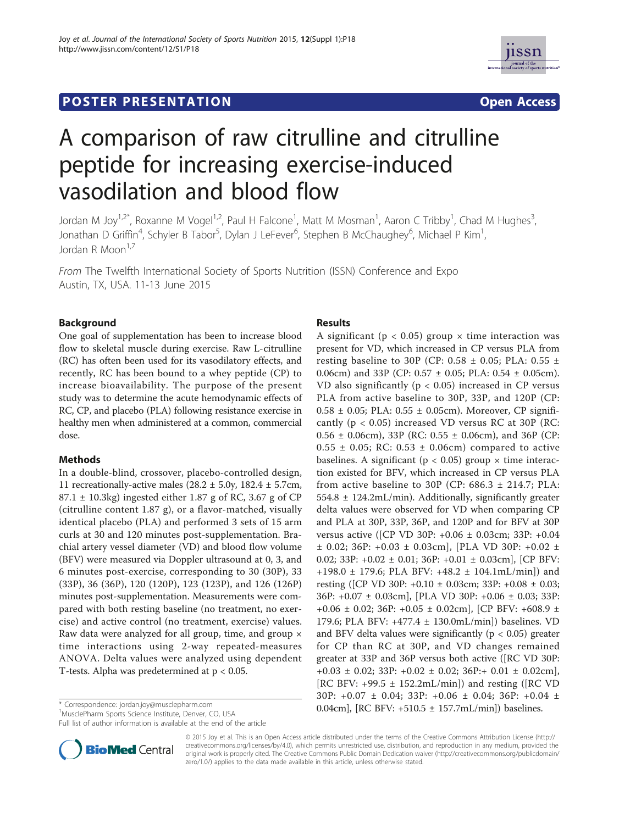# **POSTER PRESENTATION CONSUMING THE SECOND CONSUMING THE SECOND COPEN ACCESS**



# A comparison of raw citrulline and citrulline peptide for increasing exercise-induced vasodilation and blood flow

Jordan M Joy<sup>1,2\*</sup>, Roxanne M Vogel<sup>1,2</sup>, Paul H Falcone<sup>1</sup>, Matt M Mosman<sup>1</sup>, Aaron C Tribby<sup>1</sup>, Chad M Hughes<sup>3</sup> , Jonathan D Griffin<sup>4</sup>, Schyler B Tabor<sup>5</sup>, Dylan J LeFever<sup>6</sup>, Stephen B McChaughey<sup>6</sup>, Michael P Kim<sup>1</sup> , Jordan R Moon<sup>1,7</sup>

From The Twelfth International Society of Sports Nutrition (ISSN) Conference and Expo Austin, TX, USA. 11-13 June 2015

## Background

One goal of supplementation has been to increase blood flow to skeletal muscle during exercise. Raw L-citrulline (RC) has often been used for its vasodilatory effects, and recently, RC has been bound to a whey peptide (CP) to increase bioavailability. The purpose of the present study was to determine the acute hemodynamic effects of RC, CP, and placebo (PLA) following resistance exercise in healthy men when administered at a common, commercial dose.

## Methods

In a double-blind, crossover, placebo-controlled design, 11 recreationally-active males ( $28.2 \pm 5.0$ y,  $182.4 \pm 5.7$ cm,  $87.1 \pm 10.3$ kg) ingested either 1.87 g of RC, 3.67 g of CP (citrulline content 1.87 g), or a flavor-matched, visually identical placebo (PLA) and performed 3 sets of 15 arm curls at 30 and 120 minutes post-supplementation. Brachial artery vessel diameter (VD) and blood flow volume (BFV) were measured via Doppler ultrasound at 0, 3, and 6 minutes post-exercise, corresponding to 30 (30P), 33 (33P), 36 (36P), 120 (120P), 123 (123P), and 126 (126P) minutes post-supplementation. Measurements were compared with both resting baseline (no treatment, no exercise) and active control (no treatment, exercise) values. Raw data were analyzed for all group, time, and group  $\times$ time interactions using 2-way repeated-measures ANOVA. Delta values were analyzed using dependent T-tests. Alpha was predetermined at p < 0.05.

1 MusclePharm Sports Science Institute, Denver, CO, USA

Full list of author information is available at the end of the article

#### Results

A significant ( $p < 0.05$ ) group  $\times$  time interaction was present for VD, which increased in CP versus PLA from resting baseline to 30P (CP: 0.58 ± 0.05; PLA: 0.55 ± 0.06cm) and 33P (CP: 0.57 ± 0.05; PLA: 0.54 ± 0.05cm). VD also significantly ( $p < 0.05$ ) increased in CP versus PLA from active baseline to 30P, 33P, and 120P (CP:  $0.58 \pm 0.05$ ; PLA:  $0.55 \pm 0.05$ cm). Moreover, CP significantly ( $p < 0.05$ ) increased VD versus RC at 30P (RC:  $0.56 \pm 0.06$ cm), 33P (RC:  $0.55 \pm 0.06$ cm), and 36P (CP:  $0.55 \pm 0.05$ ; RC:  $0.53 \pm 0.06$ cm) compared to active baselines. A significant ( $p < 0.05$ ) group  $\times$  time interaction existed for BFV, which increased in CP versus PLA from active baseline to 30P (CP:  $686.3 \pm 214.7$ ; PLA:  $554.8 \pm 124.2$ mL/min). Additionally, significantly greater delta values were observed for VD when comparing CP and PLA at 30P, 33P, 36P, and 120P and for BFV at 30P versus active ([CP VD 30P: +0.06 ± 0.03cm; 33P: +0.04  $\pm$  0.02; 36P: +0.03  $\pm$  0.03cm], [PLA VD 30P: +0.02  $\pm$ 0.02; 33P: +0.02 ± 0.01; 36P: +0.01 ± 0.03cm], [CP BFV: +198.0 ± 179.6; PLA BFV: +48.2 ± 104.1mL/min]) and resting ([CP VD 30P: +0.10 ± 0.03cm; 33P: +0.08 ± 0.03; 36P: +0.07 ± 0.03cm], [PLA VD 30P: +0.06 ± 0.03; 33P:  $+0.06 \pm 0.02$ ; 36P:  $+0.05 \pm 0.02$ cm], [CP BFV:  $+608.9 \pm 0.02$ 179.6; PLA BFV: +477.4 ± 130.0mL/min]) baselines. VD and BFV delta values were significantly ( $p < 0.05$ ) greater for CP than RC at 30P, and VD changes remained greater at 33P and 36P versus both active ([RC VD 30P: +0.03 ± 0.02; 33P: +0.02 ± 0.02; 36P:+ 0.01 ± 0.02cm], [RC BFV: +99.5 ± 152.2mL/min]) and resting ([RC VD 30P: +0.07 ± 0.04; 33P: +0.06 ± 0.04; 36P: +0.04 ± \* Correspondence: jordan.joy@musclepharm.com 0.04cm], [RC BFV: +510.5 ± 157.7mL/min]) baselines.



© 2015 Joy et al. This is an Open Access article distributed under the terms of the Creative Commons Attribution License (http:// creativecommons.org/licenses/by/4.0), which permits unrestricted use, distribution, and reproduction in any medium, provided the original work is properly cited. The Creative Commons Public Domain Dedication waiver (http://creativecommons.org/publicdomain/ zero/1.0/) applies to the data made available in this article, unless otherwise stated.